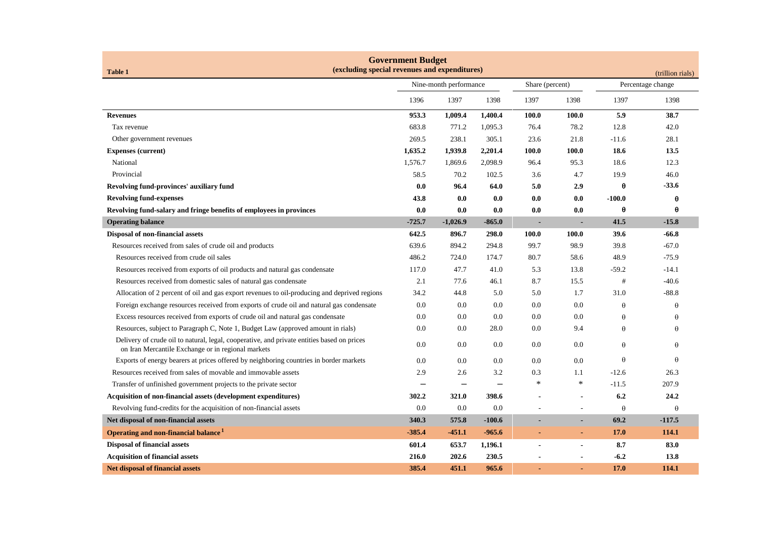| <b>Government Budget</b><br>(excluding special revenues and expenditures)                                                                        |                        |            |                 |                          |                          |          |                  |  |
|--------------------------------------------------------------------------------------------------------------------------------------------------|------------------------|------------|-----------------|--------------------------|--------------------------|----------|------------------|--|
| <b>Table 1</b>                                                                                                                                   |                        |            |                 |                          |                          |          | (trillion rials) |  |
|                                                                                                                                                  | Nine-month performance |            | Share (percent) |                          | Percentage change        |          |                  |  |
|                                                                                                                                                  | 1396                   | 1397       | 1398            | 1397                     | 1398                     | 1397     | 1398             |  |
| <b>Revenues</b>                                                                                                                                  | 953.3                  | 1,009.4    | 1,400.4         | 100.0                    | 100.0                    | 5.9      | 38.7             |  |
| Tax revenue                                                                                                                                      | 683.8                  | 771.2      | 1,095.3         | 76.4                     | 78.2                     | 12.8     | 42.0             |  |
| Other government revenues                                                                                                                        | 269.5                  | 238.1      | 305.1           | 23.6                     | 21.8                     | $-11.6$  | 28.1             |  |
| <b>Expenses (current)</b>                                                                                                                        | 1,635.2                | 1,939.8    | 2,201.4         | 100.0                    | 100.0                    | 18.6     | 13.5             |  |
| National                                                                                                                                         | 1,576.7                | 1,869.6    | 2,098.9         | 96.4                     | 95.3                     | 18.6     | 12.3             |  |
| Provincial                                                                                                                                       | 58.5                   | 70.2       | 102.5           | 3.6                      | 4.7                      | 19.9     | 46.0             |  |
| Revolving fund-provinces' auxiliary fund                                                                                                         | 0.0                    | 96.4       | 64.0            | 5.0                      | 2.9                      | θ        | $-33.6$          |  |
| <b>Revolving fund-expenses</b>                                                                                                                   | 43.8                   | 0.0        | 0.0             | 0.0                      | 0.0                      | $-100.0$ | θ                |  |
| Revolving fund-salary and fringe benefits of employees in provinces                                                                              | 0.0                    | 0.0        | 0.0             | 0.0                      | 0.0                      | θ        | θ                |  |
| <b>Operating balance</b>                                                                                                                         | $-725.7$               | $-1,026.9$ | $-865.0$        | $\overline{\phantom{a}}$ |                          | 41.5     | $-15.8$          |  |
| Disposal of non-financial assets                                                                                                                 | 642.5                  | 896.7      | 298.0           | 100.0                    | 100.0                    | 39.6     | $-66.8$          |  |
| Resources received from sales of crude oil and products                                                                                          | 639.6                  | 894.2      | 294.8           | 99.7                     | 98.9                     | 39.8     | $-67.0$          |  |
| Resources received from crude oil sales                                                                                                          | 486.2                  | 724.0      | 174.7           | 80.7                     | 58.6                     | 48.9     | $-75.9$          |  |
| Resources received from exports of oil products and natural gas condensate                                                                       | 117.0                  | 47.7       | 41.0            | 5.3                      | 13.8                     | $-59.2$  | $-14.1$          |  |
| Resources received from domestic sales of natural gas condensate                                                                                 | 2.1                    | 77.6       | 46.1            | 8.7                      | 15.5                     | #        | $-40.6$          |  |
| Allocation of 2 percent of oil and gas export revenues to oil-producing and deprived regions                                                     | 34.2                   | 44.8       | 5.0             | 5.0                      | 1.7                      | 31.0     | $-88.8$          |  |
| Foreign exchange resources received from exports of crude oil and natural gas condensate                                                         | 0.0                    | 0.0        | 0.0             | 0.0                      | 0.0                      | $\theta$ | θ                |  |
| Excess resources received from exports of crude oil and natural gas condensate                                                                   | 0.0                    | 0.0        | 0.0             | 0.0                      | 0.0                      | $\theta$ | θ                |  |
| Resources, subject to Paragraph C, Note 1, Budget Law (approved amount in rials)                                                                 | 0.0                    | 0.0        | 28.0            | 0.0                      | 9.4                      | $\theta$ | θ                |  |
| Delivery of crude oil to natural, legal, cooperative, and private entities based on prices<br>on Iran Mercantile Exchange or in regional markets | 0.0                    | 0.0        | 0.0             | 0.0                      | 0.0                      | $\theta$ | θ                |  |
| Exports of energy bearers at prices offered by neighboring countries in border markets                                                           | 0.0                    | 0.0        | 0.0             | 0.0                      | 0.0                      | $\theta$ | θ                |  |
| Resources received from sales of movable and immovable assets                                                                                    | 2.9                    | 2.6        | 3.2             | 0.3                      | 1.1                      | $-12.6$  | 26.3             |  |
| Transfer of unfinished government projects to the private sector                                                                                 |                        |            |                 | $\ast$                   | $\ast$                   | $-11.5$  | 207.9            |  |
| <b>Acquisition of non-financial assets (development expenditures)</b>                                                                            | 302.2                  | 321.0      | 398.6           |                          |                          | 6.2      | 24.2             |  |
| Revolving fund-credits for the acquisition of non-financial assets                                                                               | 0.0                    | 0.0        | 0.0             |                          |                          | $\theta$ | $\theta$         |  |
| Net disposal of non-financial assets                                                                                                             | 340.3                  | 575.8      | $-100.6$        |                          |                          | 69.2     | $-117.5$         |  |
| Operating and non-financial balance <sup>1</sup>                                                                                                 | $-385.4$               | $-451.1$   | $-965.6$        |                          | $\blacksquare$           | 17.0     | 114.1            |  |
| <b>Disposal of financial assets</b>                                                                                                              | 601.4                  | 653.7      | 1,196.1         |                          | $\overline{\phantom{a}}$ | 8.7      | 83.0             |  |
| <b>Acquisition of financial assets</b>                                                                                                           | 216.0                  | 202.6      | 230.5           |                          |                          | $-6.2$   | 13.8             |  |
| <b>Net disposal of financial assets</b>                                                                                                          | 385.4                  | 451.1      | 965.6           |                          |                          | 17.0     | 114.1            |  |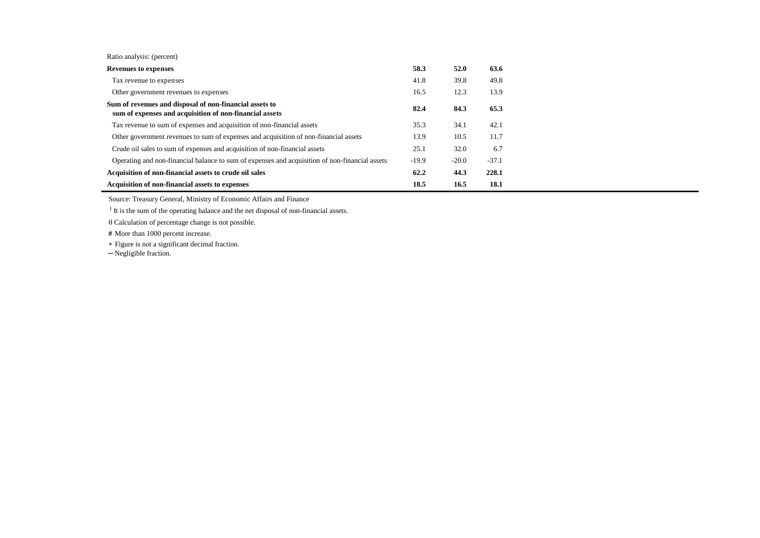| Ratio analysis: (percent) |  |
|---------------------------|--|
|---------------------------|--|

| <b>Revenues to expenses</b>                                                                                        | 58.3    | 52.0    | 63.6    |
|--------------------------------------------------------------------------------------------------------------------|---------|---------|---------|
| Tax revenue to expenses                                                                                            | 41.8    | 39.8    | 49.8    |
| Other government revenues to expenses                                                                              | 16.5    | 12.3    | 13.9    |
| Sum of revenues and disposal of non-financial assets to<br>sum of expenses and acquisition of non-financial assets | 82.4    | 84.3    | 65.3    |
| Tax revenue to sum of expenses and acquisition of non-financial assets                                             | 35.3    | 34.1    | 42.1    |
| Other government revenues to sum of expenses and acquisition of non-financial assets                               | 13.9    | 10.5    | 11.7    |
| Crude oil sales to sum of expenses and acquisition of non-financial assets                                         | 25.1    | 32.0    | 6.7     |
| Operating and non-financial balance to sum of expenses and acquisition of non-financial assets                     | $-19.9$ | $-20.0$ | $-37.1$ |
| Acquisition of non-financial assets to crude oil sales                                                             | 62.2    | 44.3    | 228.1   |
| Acquisition of non-financial assets to expenses                                                                    | 18.5    | 16.5    | 18.1    |

Source: Treasury General, Ministry of Economic Affairs and Finance

<sup>1</sup> It is the sum of the operating balance and the net disposal of non-financial assets.

 $\theta$  Calculation of percentage change is not possible.

 **#** More than 1000 percent increase.

Figure is not a significant decimal fraction.

─ Negligible fraction.